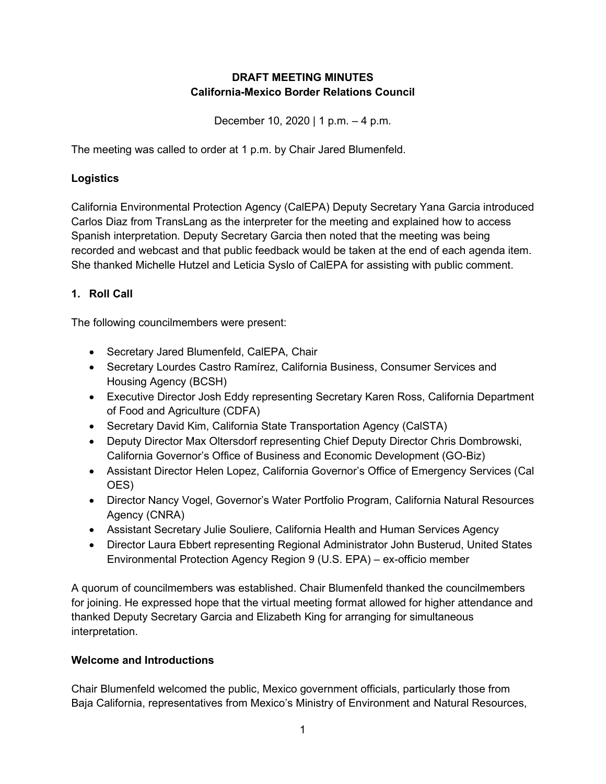### **DRAFT MEETING MINUTES California-Mexico Border Relations Council**

December 10, 2020 | 1 p.m. – 4 p.m.

The meeting was called to order at 1 p.m. by Chair Jared Blumenfeld.

#### **Logistics**

California Environmental Protection Agency (CalEPA) Deputy Secretary Yana Garcia introduced Carlos Diaz from TransLang as the interpreter for the meeting and explained how to access Spanish interpretation. Deputy Secretary Garcia then noted that the meeting was being recorded and webcast and that public feedback would be taken at the end of each agenda item. She thanked Michelle Hutzel and Leticia Syslo of CalEPA for assisting with public comment.

### **1. Roll Call**

The following councilmembers were present:

- Secretary Jared Blumenfeld, CalEPA, Chair
- Secretary Lourdes Castro Ramírez, California Business, Consumer Services and Housing Agency (BCSH)
- Executive Director Josh Eddy representing Secretary Karen Ross, California Department of Food and Agriculture (CDFA)
- Secretary David Kim, California State Transportation Agency (CalSTA)
- Deputy Director Max Oltersdorf representing Chief Deputy Director Chris Dombrowski, California Governor's Office of Business and Economic Development (GO-Biz)
- Assistant Director Helen Lopez, California Governor's Office of Emergency Services (Cal OES)
- Director Nancy Vogel, Governor's Water Portfolio Program, California Natural Resources Agency (CNRA)
- Assistant Secretary Julie Souliere, California Health and Human Services Agency
- Director Laura Ebbert representing Regional Administrator John Busterud, United States Environmental Protection Agency Region 9 (U.S. EPA) – ex-officio member

A quorum of councilmembers was established. Chair Blumenfeld thanked the councilmembers for joining. He expressed hope that the virtual meeting format allowed for higher attendance and thanked Deputy Secretary Garcia and Elizabeth King for arranging for simultaneous interpretation.

### **Welcome and Introductions**

Chair Blumenfeld welcomed the public, Mexico government officials, particularly those from Baja California, representatives from Mexico's Ministry of Environment and Natural Resources,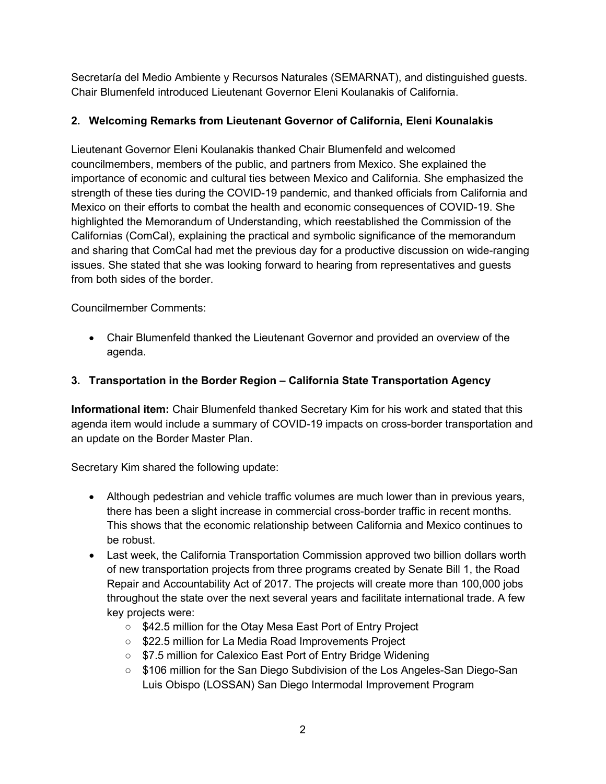Secretaría del Medio Ambiente y Recursos Naturales (SEMARNAT), and distinguished guests. Chair Blumenfeld introduced Lieutenant Governor Eleni Koulanakis of California.

## **2. Welcoming Remarks from Lieutenant Governor of California, Eleni Kounalakis**

Lieutenant Governor Eleni Koulanakis thanked Chair Blumenfeld and welcomed councilmembers, members of the public, and partners from Mexico. She explained the importance of economic and cultural ties between Mexico and California. She emphasized the strength of these ties during the COVID-19 pandemic, and thanked officials from California and Mexico on their efforts to combat the health and economic consequences of COVID-19. She highlighted the Memorandum of Understanding, which reestablished the Commission of the Californias (ComCal), explaining the practical and symbolic significance of the memorandum and sharing that ComCal had met the previous day for a productive discussion on wide-ranging issues. She stated that she was looking forward to hearing from representatives and guests from both sides of the border.

Councilmember Comments:

• Chair Blumenfeld thanked the Lieutenant Governor and provided an overview of the agenda.

## **3. Transportation in the Border Region – California State Transportation Agency**

**Informational item:** Chair Blumenfeld thanked Secretary Kim for his work and stated that this agenda item would include a summary of COVID-19 impacts on cross-border transportation and an update on the Border Master Plan.

Secretary Kim shared the following update:

- Although pedestrian and vehicle traffic volumes are much lower than in previous years, there has been a slight increase in commercial cross-border traffic in recent months. This shows that the economic relationship between California and Mexico continues to be robust.
- Last week, the California Transportation Commission approved two billion dollars worth of new transportation projects from three programs created by Senate Bill 1, the Road Repair and Accountability Act of 2017. The projects will create more than 100,000 jobs throughout the state over the next several years and facilitate international trade. A few key projects were:
	- \$42.5 million for the Otay Mesa East Port of Entry Project
	- \$22.5 million for La Media Road Improvements Project
	- \$7.5 million for Calexico East Port of Entry Bridge Widening
	- \$106 million for the San Diego Subdivision of the Los Angeles-San Diego-San Luis Obispo (LOSSAN) San Diego Intermodal Improvement Program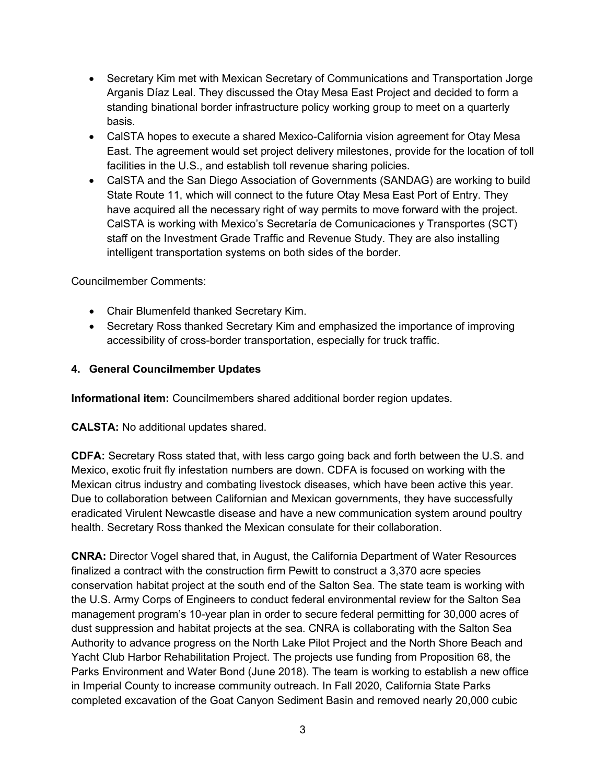- Secretary Kim met with Mexican Secretary of Communications and Transportation Jorge Arganis Díaz Leal. They discussed the Otay Mesa East Project and decided to form a standing binational border infrastructure policy working group to meet on a quarterly basis.
- CalSTA hopes to execute a shared Mexico-California vision agreement for Otay Mesa East. The agreement would set project delivery milestones, provide for the location of toll facilities in the U.S., and establish toll revenue sharing policies.
- CalSTA and the San Diego Association of Governments (SANDAG) are working to build State Route 11, which will connect to the future Otay Mesa East Port of Entry. They have acquired all the necessary right of way permits to move forward with the project. CalSTA is working with Mexico's Secretaría de Comunicaciones y Transportes (SCT) staff on the Investment Grade Traffic and Revenue Study. They are also installing intelligent transportation systems on both sides of the border.

- Chair Blumenfeld thanked Secretary Kim.
- Secretary Ross thanked Secretary Kim and emphasized the importance of improving accessibility of cross-border transportation, especially for truck traffic.

### **4. General Councilmember Updates**

**Informational item:** Councilmembers shared additional border region updates.

**CALSTA:** No additional updates shared.

**CDFA:** Secretary Ross stated that, with less cargo going back and forth between the U.S. and Mexico, exotic fruit fly infestation numbers are down. CDFA is focused on working with the Mexican citrus industry and combating livestock diseases, which have been active this year. Due to collaboration between Californian and Mexican governments, they have successfully eradicated Virulent Newcastle disease and have a new communication system around poultry health. Secretary Ross thanked the Mexican consulate for their collaboration.

**CNRA:** Director Vogel shared that, in August, the California Department of Water Resources finalized a contract with the construction firm Pewitt to construct a 3,370 acre species conservation habitat project at the south end of the Salton Sea. The state team is working with the U.S. Army Corps of Engineers to conduct federal environmental review for the Salton Sea management program's 10-year plan in order to secure federal permitting for 30,000 acres of dust suppression and habitat projects at the sea. CNRA is collaborating with the Salton Sea Authority to advance progress on the North Lake Pilot Project and the North Shore Beach and Yacht Club Harbor Rehabilitation Project. The projects use funding from Proposition 68, the Parks Environment and Water Bond (June 2018). The team is working to establish a new office in Imperial County to increase community outreach. In Fall 2020, California State Parks completed excavation of the Goat Canyon Sediment Basin and removed nearly 20,000 cubic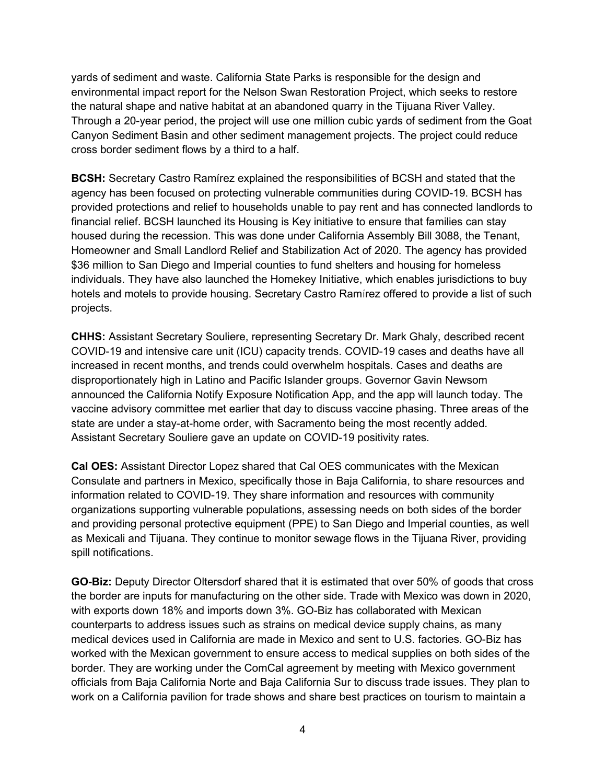yards of sediment and waste. California State Parks is responsible for the design and environmental impact report for the Nelson Swan Restoration Project, which seeks to restore the natural shape and native habitat at an abandoned quarry in the Tijuana River Valley. Through a 20-year period, the project will use one million cubic yards of sediment from the Goat Canyon Sediment Basin and other sediment management projects. The project could reduce cross border sediment flows by a third to a half.

**BCSH:** Secretary Castro Ramírez explained the responsibilities of BCSH and stated that the agency has been focused on protecting vulnerable communities during COVID-19. BCSH has provided protections and relief to households unable to pay rent and has connected landlords to financial relief. BCSH launched its Housing is Key initiative to ensure that families can stay housed during the recession. This was done under California Assembly Bill 3088, the Tenant, Homeowner and Small Landlord Relief and Stabilization Act of 2020. The agency has provided \$36 million to San Diego and Imperial counties to fund shelters and housing for homeless individuals. They have also launched the Homekey Initiative, which enables jurisdictions to buy hotels and motels to provide housing. Secretary Castro Ramírez offered to provide a list of such projects.

**CHHS:** Assistant Secretary Souliere, representing Secretary Dr. Mark Ghaly, described recent COVID-19 and intensive care unit (ICU) capacity trends. COVID-19 cases and deaths have all increased in recent months, and trends could overwhelm hospitals. Cases and deaths are disproportionately high in Latino and Pacific Islander groups. Governor Gavin Newsom announced the California Notify Exposure Notification App, and the app will launch today. The vaccine advisory committee met earlier that day to discuss vaccine phasing. Three areas of the state are under a stay-at-home order, with Sacramento being the most recently added. Assistant Secretary Souliere gave an update on COVID-19 positivity rates.

**Cal OES:** Assistant Director Lopez shared that Cal OES communicates with the Mexican Consulate and partners in Mexico, specifically those in Baja California, to share resources and information related to COVID-19. They share information and resources with community organizations supporting vulnerable populations, assessing needs on both sides of the border and providing personal protective equipment (PPE) to San Diego and Imperial counties, as well as Mexicali and Tijuana. They continue to monitor sewage flows in the Tijuana River, providing spill notifications.

**GO-Biz:** Deputy Director Oltersdorf shared that it is estimated that over 50% of goods that cross the border are inputs for manufacturing on the other side. Trade with Mexico was down in 2020, with exports down 18% and imports down 3%. GO-Biz has collaborated with Mexican counterparts to address issues such as strains on medical device supply chains, as many medical devices used in California are made in Mexico and sent to U.S. factories. GO-Biz has worked with the Mexican government to ensure access to medical supplies on both sides of the border. They are working under the ComCal agreement by meeting with Mexico government officials from Baja California Norte and Baja California Sur to discuss trade issues. They plan to work on a California pavilion for trade shows and share best practices on tourism to maintain a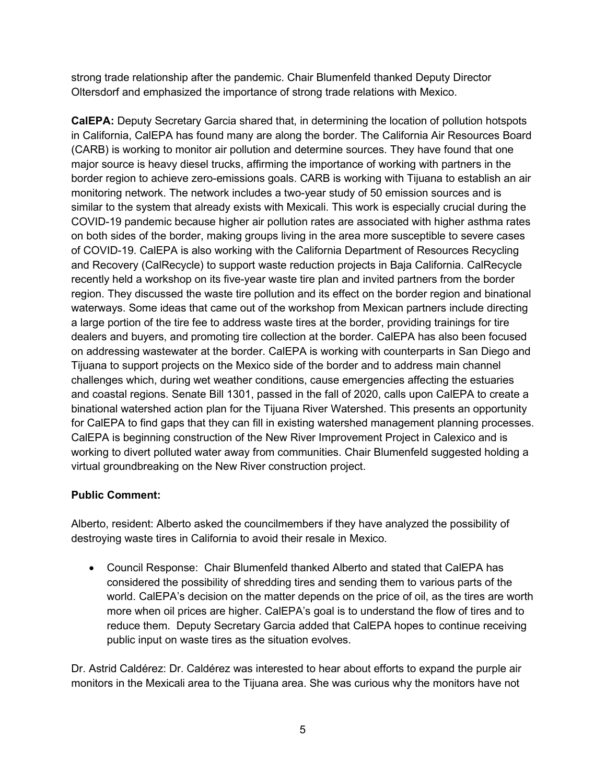strong trade relationship after the pandemic. Chair Blumenfeld thanked Deputy Director Oltersdorf and emphasized the importance of strong trade relations with Mexico.

**CalEPA:** Deputy Secretary Garcia shared that, in determining the location of pollution hotspots in California, CalEPA has found many are along the border. The California Air Resources Board (CARB) is working to monitor air pollution and determine sources. They have found that one major source is heavy diesel trucks, affirming the importance of working with partners in the border region to achieve zero-emissions goals. CARB is working with Tijuana to establish an air monitoring network. The network includes a two-year study of 50 emission sources and is similar to the system that already exists with Mexicali. This work is especially crucial during the COVID-19 pandemic because higher air pollution rates are associated with higher asthma rates on both sides of the border, making groups living in the area more susceptible to severe cases of COVID-19. CalEPA is also working with the California Department of Resources Recycling and Recovery (CalRecycle) to support waste reduction projects in Baja California. CalRecycle recently held a workshop on its five-year waste tire plan and invited partners from the border region. They discussed the waste tire pollution and its effect on the border region and binational waterways. Some ideas that came out of the workshop from Mexican partners include directing a large portion of the tire fee to address waste tires at the border, providing trainings for tire dealers and buyers, and promoting tire collection at the border. CalEPA has also been focused on addressing wastewater at the border. CalEPA is working with counterparts in San Diego and Tijuana to support projects on the Mexico side of the border and to address main channel challenges which, during wet weather conditions, cause emergencies affecting the estuaries and coastal regions. Senate Bill 1301, passed in the fall of 2020, calls upon CalEPA to create a binational watershed action plan for the Tijuana River Watershed. This presents an opportunity for CalEPA to find gaps that they can fill in existing watershed management planning processes. CalEPA is beginning construction of the New River Improvement Project in Calexico and is working to divert polluted water away from communities. Chair Blumenfeld suggested holding a virtual groundbreaking on the New River construction project.

### **Public Comment:**

Alberto, resident: Alberto asked the councilmembers if they have analyzed the possibility of destroying waste tires in California to avoid their resale in Mexico.

• Council Response: Chair Blumenfeld thanked Alberto and stated that CalEPA has considered the possibility of shredding tires and sending them to various parts of the world. CalEPA's decision on the matter depends on the price of oil, as the tires are worth more when oil prices are higher. CalEPA's goal is to understand the flow of tires and to reduce them. Deputy Secretary Garcia added that CalEPA hopes to continue receiving public input on waste tires as the situation evolves.

Dr. Astrid Caldérez: Dr. Caldérez was interested to hear about efforts to expand the purple air monitors in the Mexicali area to the Tijuana area. She was curious why the monitors have not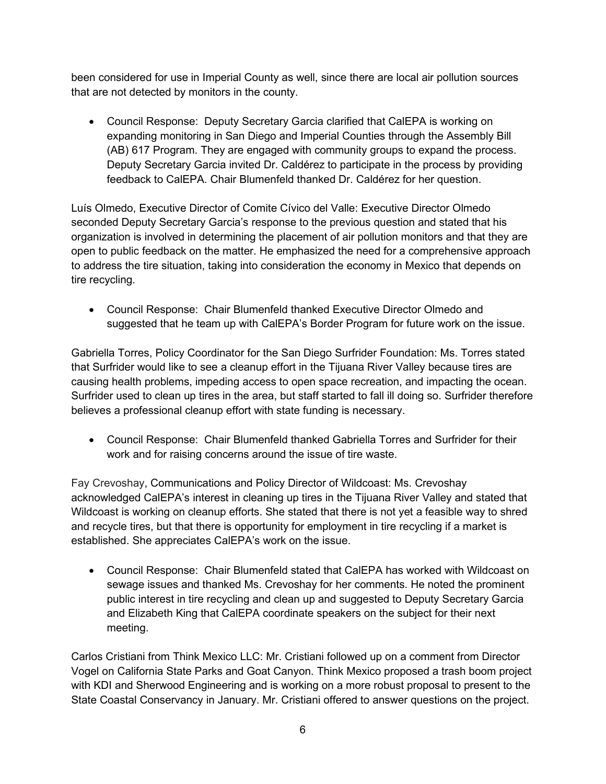been considered for use in Imperial County as well, since there are local air pollution sources that are not detected by monitors in the county.

• Council Response: Deputy Secretary Garcia clarified that CalEPA is working on expanding monitoring in San Diego and Imperial Counties through the Assembly Bill (AB) 617 Program. They are engaged with community groups to expand the process. Deputy Secretary Garcia invited Dr. Caldérez to participate in the process by providing feedback to CalEPA. Chair Blumenfeld thanked Dr. Caldérez for her question.

Luís Olmedo, Executive Director of Comite Cívico del Valle: Executive Director Olmedo seconded Deputy Secretary Garcia's response to the previous question and stated that his organization is involved in determining the placement of air pollution monitors and that they are open to public feedback on the matter. He emphasized the need for a comprehensive approach to address the tire situation, taking into consideration the economy in Mexico that depends on tire recycling.

• Council Response: Chair Blumenfeld thanked Executive Director Olmedo and suggested that he team up with CalEPA's Border Program for future work on the issue.

Gabriella Torres, Policy Coordinator for the San Diego Surfrider Foundation: Ms. Torres stated that Surfrider would like to see a cleanup effort in the Tijuana River Valley because tires are causing health problems, impeding access to open space recreation, and impacting the ocean. Surfrider used to clean up tires in the area, but staff started to fall ill doing so. Surfrider therefore believes a professional cleanup effort with state funding is necessary.

• Council Response: Chair Blumenfeld thanked Gabriella Torres and Surfrider for their work and for raising concerns around the issue of tire waste.

Fay Crevoshay, Communications and Policy Director of Wildcoast: Ms. Crevoshay acknowledged CalEPA's interest in cleaning up tires in the Tijuana River Valley and stated that Wildcoast is working on cleanup efforts. She stated that there is not yet a feasible way to shred and recycle tires, but that there is opportunity for employment in tire recycling if a market is established. She appreciates CalEPA's work on the issue.

• Council Response: Chair Blumenfeld stated that CalEPA has worked with Wildcoast on sewage issues and thanked Ms. Crevoshay for her comments. He noted the prominent public interest in tire recycling and clean up and suggested to Deputy Secretary Garcia and Elizabeth King that CalEPA coordinate speakers on the subject for their next meeting.

Carlos Cristiani from Think Mexico LLC: Mr. Cristiani followed up on a comment from Director Vogel on California State Parks and Goat Canyon. Think Mexico proposed a trash boom project with KDI and Sherwood Engineering and is working on a more robust proposal to present to the State Coastal Conservancy in January. Mr. Cristiani offered to answer questions on the project.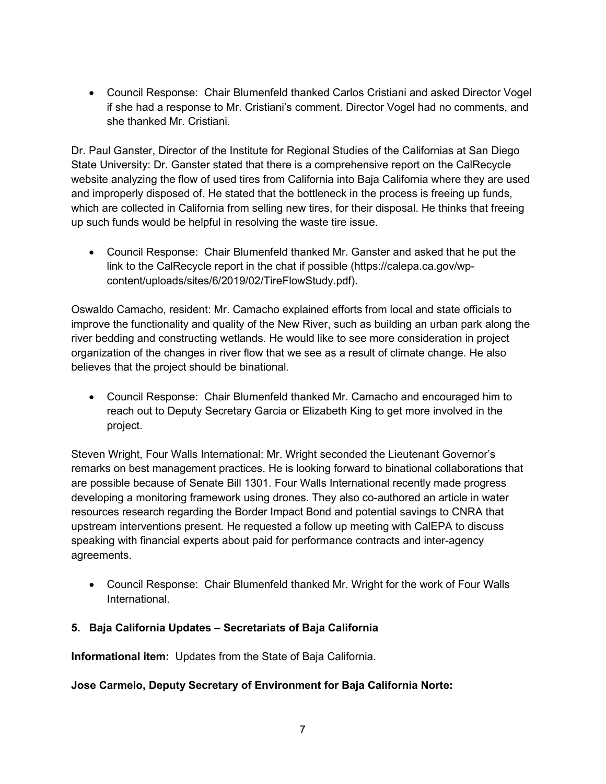• Council Response: Chair Blumenfeld thanked Carlos Cristiani and asked Director Vogel if she had a response to Mr. Cristiani's comment. Director Vogel had no comments, and she thanked Mr. Cristiani.

Dr. Paul Ganster, Director of the Institute for Regional Studies of the Californias at San Diego State University: Dr. Ganster stated that there is a comprehensive report on the CalRecycle website analyzing the flow of used tires from California into Baja California where they are used and improperly disposed of. He stated that the bottleneck in the process is freeing up funds, which are collected in California from selling new tires, for their disposal. He thinks that freeing up such funds would be helpful in resolving the waste tire issue.

• Council Response: Chair Blumenfeld thanked Mr. Ganster and asked that he put the link to the CalRecycle report in the chat if possible (https://calepa.ca.gov/wpcontent/uploads/sites/6/2019/02/TireFlowStudy.pdf).

Oswaldo Camacho, resident: Mr. Camacho explained efforts from local and state officials to improve the functionality and quality of the New River, such as building an urban park along the river bedding and constructing wetlands. He would like to see more consideration in project organization of the changes in river flow that we see as a result of climate change. He also believes that the project should be binational.

• Council Response: Chair Blumenfeld thanked Mr. Camacho and encouraged him to reach out to Deputy Secretary Garcia or Elizabeth King to get more involved in the project.

Steven Wright, Four Walls International: Mr. Wright seconded the Lieutenant Governor's remarks on best management practices. He is looking forward to binational collaborations that are possible because of Senate Bill 1301. Four Walls International recently made progress developing a monitoring framework using drones. They also co-authored an article in water resources research regarding the Border Impact Bond and potential savings to CNRA that upstream interventions present. He requested a follow up meeting with CalEPA to discuss speaking with financial experts about paid for performance contracts and inter-agency agreements.

• Council Response: Chair Blumenfeld thanked Mr. Wright for the work of Four Walls International.

### **5. Baja California Updates – Secretariats of Baja California**

**Informational item:** Updates from the State of Baja California.

### **Jose Carmelo, Deputy Secretary of Environment for Baja California Norte:**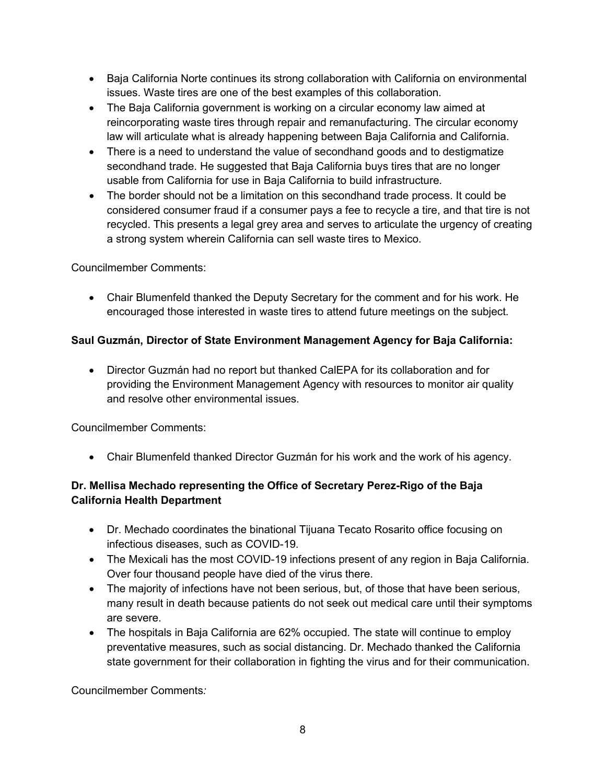- Baja California Norte continues its strong collaboration with California on environmental issues. Waste tires are one of the best examples of this collaboration.
- The Baja California government is working on a circular economy law aimed at reincorporating waste tires through repair and remanufacturing. The circular economy law will articulate what is already happening between Baja California and California.
- There is a need to understand the value of secondhand goods and to destigmatize secondhand trade. He suggested that Baja California buys tires that are no longer usable from California for use in Baja California to build infrastructure.
- The border should not be a limitation on this secondhand trade process. It could be considered consumer fraud if a consumer pays a fee to recycle a tire, and that tire is not recycled. This presents a legal grey area and serves to articulate the urgency of creating a strong system wherein California can sell waste tires to Mexico.

• Chair Blumenfeld thanked the Deputy Secretary for the comment and for his work. He encouraged those interested in waste tires to attend future meetings on the subject.

## **Saul Guzmán, Director of State Environment Management Agency for Baja California:**

• Director Guzmán had no report but thanked CalEPA for its collaboration and for providing the Environment Management Agency with resources to monitor air quality and resolve other environmental issues.

Councilmember Comments:

• Chair Blumenfeld thanked Director Guzmán for his work and the work of his agency.

## **Dr. Mellisa Mechado representing the Office of Secretary Perez-Rigo of the Baja California Health Department**

- Dr. Mechado coordinates the binational Tijuana Tecato Rosarito office focusing on infectious diseases, such as COVID-19.
- The Mexicali has the most COVID-19 infections present of any region in Baja California. Over four thousand people have died of the virus there.
- The majority of infections have not been serious, but, of those that have been serious, many result in death because patients do not seek out medical care until their symptoms are severe.
- The hospitals in Baja California are 62% occupied. The state will continue to employ preventative measures, such as social distancing. Dr. Mechado thanked the California state government for their collaboration in fighting the virus and for their communication.

Councilmember Comments*:*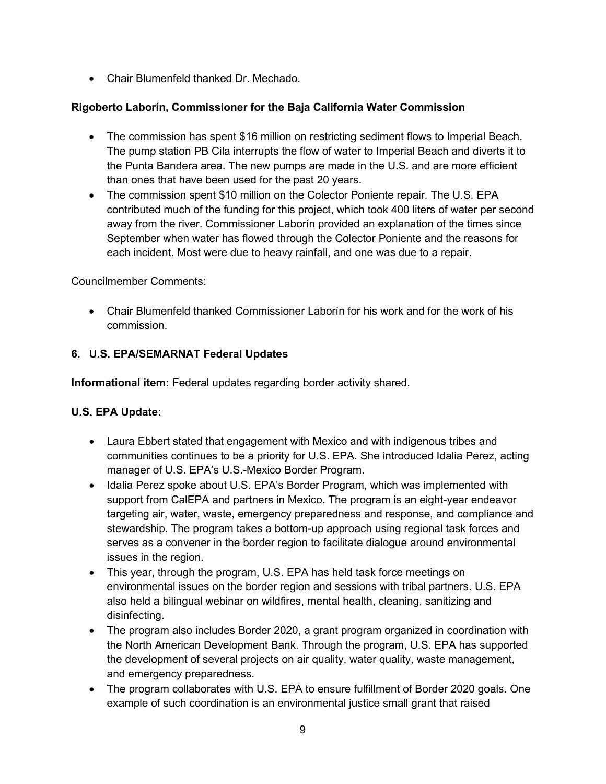• Chair Blumenfeld thanked Dr. Mechado.

### **Rigoberto Laborín, Commissioner for the Baja California Water Commission**

- The commission has spent \$16 million on restricting sediment flows to Imperial Beach. The pump station PB Cila interrupts the flow of water to Imperial Beach and diverts it to the Punta Bandera area. The new pumps are made in the U.S. and are more efficient than ones that have been used for the past 20 years.
- The commission spent \$10 million on the Colector Poniente repair. The U.S. EPA contributed much of the funding for this project, which took 400 liters of water per second away from the river. Commissioner Laborín provided an explanation of the times since September when water has flowed through the Colector Poniente and the reasons for each incident. Most were due to heavy rainfall, and one was due to a repair.

Councilmember Comments:

• Chair Blumenfeld thanked Commissioner Laborín for his work and for the work of his commission.

### **6. U.S. EPA/SEMARNAT Federal Updates**

**Informational item:** Federal updates regarding border activity shared.

### **U.S. EPA Update:**

- Laura Ebbert stated that engagement with Mexico and with indigenous tribes and communities continues to be a priority for U.S. EPA. She introduced Idalia Perez, acting manager of U.S. EPA's U.S.-Mexico Border Program.
- Idalia Perez spoke about U.S. EPA's Border Program, which was implemented with support from CalEPA and partners in Mexico. The program is an eight-year endeavor targeting air, water, waste, emergency preparedness and response, and compliance and stewardship. The program takes a bottom-up approach using regional task forces and serves as a convener in the border region to facilitate dialogue around environmental issues in the region.
- This year, through the program, U.S. EPA has held task force meetings on environmental issues on the border region and sessions with tribal partners. U.S. EPA also held a bilingual webinar on wildfires, mental health, cleaning, sanitizing and disinfecting.
- The program also includes Border 2020, a grant program organized in coordination with the North American Development Bank. Through the program, U.S. EPA has supported the development of several projects on air quality, water quality, waste management, and emergency preparedness.
- The program collaborates with U.S. EPA to ensure fulfillment of Border 2020 goals. One example of such coordination is an environmental justice small grant that raised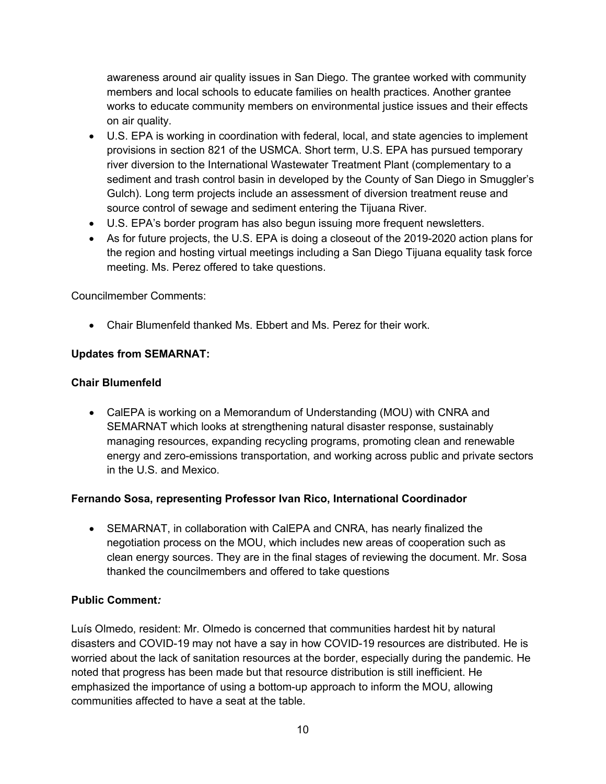awareness around air quality issues in San Diego. The grantee worked with community members and local schools to educate families on health practices. Another grantee works to educate community members on environmental justice issues and their effects on air quality.

- U.S. EPA is working in coordination with federal, local, and state agencies to implement provisions in section 821 of the USMCA. Short term, U.S. EPA has pursued temporary river diversion to the International Wastewater Treatment Plant (complementary to a sediment and trash control basin in developed by the County of San Diego in Smuggler's Gulch). Long term projects include an assessment of diversion treatment reuse and source control of sewage and sediment entering the Tijuana River.
- U.S. EPA's border program has also begun issuing more frequent newsletters.
- As for future projects, the U.S. EPA is doing a closeout of the 2019-2020 action plans for the region and hosting virtual meetings including a San Diego Tijuana equality task force meeting. Ms. Perez offered to take questions.

Councilmember Comments:

• Chair Blumenfeld thanked Ms. Ebbert and Ms. Perez for their work.

### **Updates from SEMARNAT:**

### **Chair Blumenfeld**

• CalEPA is working on a Memorandum of Understanding (MOU) with CNRA and SEMARNAT which looks at strengthening natural disaster response, sustainably managing resources, expanding recycling programs, promoting clean and renewable energy and zero-emissions transportation, and working across public and private sectors in the U.S. and Mexico.

### **Fernando Sosa, representing Professor Ivan Rico, International Coordinador**

• SEMARNAT, in collaboration with CalEPA and CNRA, has nearly finalized the negotiation process on the MOU, which includes new areas of cooperation such as clean energy sources. They are in the final stages of reviewing the document. Mr. Sosa thanked the councilmembers and offered to take questions

### **Public Comment***:*

Luís Olmedo, resident: Mr. Olmedo is concerned that communities hardest hit by natural disasters and COVID-19 may not have a say in how COVID-19 resources are distributed. He is worried about the lack of sanitation resources at the border, especially during the pandemic. He noted that progress has been made but that resource distribution is still inefficient. He emphasized the importance of using a bottom-up approach to inform the MOU, allowing communities affected to have a seat at the table.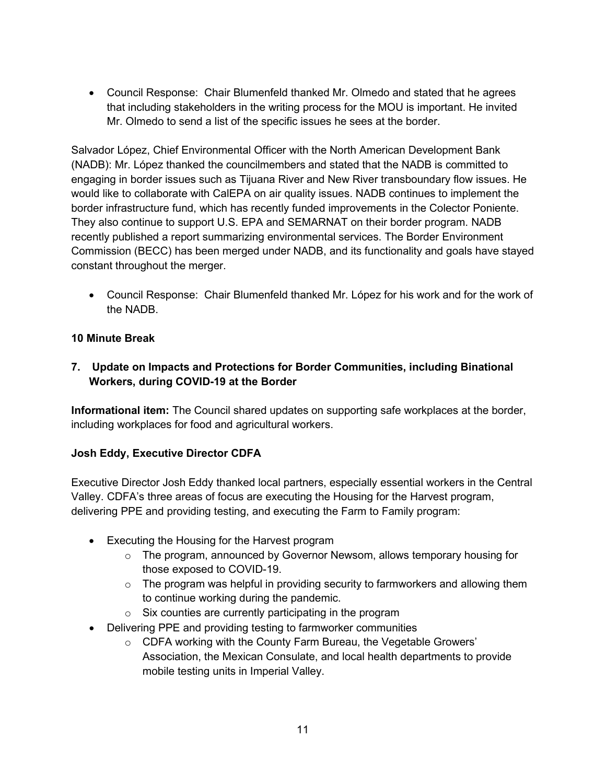• Council Response: Chair Blumenfeld thanked Mr. Olmedo and stated that he agrees that including stakeholders in the writing process for the MOU is important. He invited Mr. Olmedo to send a list of the specific issues he sees at the border.

Salvador López, Chief Environmental Officer with the North American Development Bank (NADB): Mr. López thanked the councilmembers and stated that the NADB is committed to engaging in border issues such as Tijuana River and New River transboundary flow issues. He would like to collaborate with CalEPA on air quality issues. NADB continues to implement the border infrastructure fund, which has recently funded improvements in the Colector Poniente. They also continue to support U.S. EPA and SEMARNAT on their border program. NADB recently published a report summarizing environmental services. The Border Environment Commission (BECC) has been merged under NADB, and its functionality and goals have stayed constant throughout the merger.

• Council Response: Chair Blumenfeld thanked Mr. López for his work and for the work of the NADB.

### **10 Minute Break**

### **7. Update on Impacts and Protections for Border Communities, including Binational Workers, during COVID-19 at the Border**

**Informational item:** The Council shared updates on supporting safe workplaces at the border, including workplaces for food and agricultural workers.

### **Josh Eddy, Executive Director CDFA**

Executive Director Josh Eddy thanked local partners, especially essential workers in the Central Valley. CDFA's three areas of focus are executing the Housing for the Harvest program, delivering PPE and providing testing, and executing the Farm to Family program:

- Executing the Housing for the Harvest program
	- o The program, announced by Governor Newsom, allows temporary housing for those exposed to COVID-19.
	- $\circ$  The program was helpful in providing security to farmworkers and allowing them to continue working during the pandemic.
	- $\circ$  Six counties are currently participating in the program
- Delivering PPE and providing testing to farmworker communities
	- o CDFA working with the County Farm Bureau, the Vegetable Growers' Association, the Mexican Consulate, and local health departments to provide mobile testing units in Imperial Valley.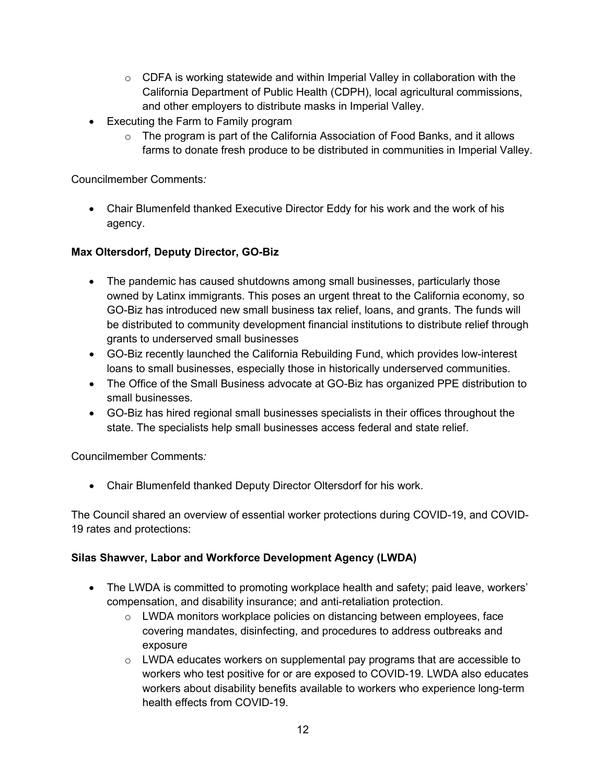- $\circ$  CDFA is working statewide and within Imperial Valley in collaboration with the California Department of Public Health (CDPH), local agricultural commissions, and other employers to distribute masks in Imperial Valley.
- Executing the Farm to Family program
	- o The program is part of the California Association of Food Banks, and it allows farms to donate fresh produce to be distributed in communities in Imperial Valley.

• Chair Blumenfeld thanked Executive Director Eddy for his work and the work of his agency.

### **Max Oltersdorf, Deputy Director, GO-Biz**

- The pandemic has caused shutdowns among small businesses, particularly those owned by Latinx immigrants. This poses an urgent threat to the California economy, so GO-Biz has introduced new small business tax relief, loans, and grants. The funds will be distributed to community development financial institutions to distribute relief through grants to underserved small businesses
- GO-Biz recently launched the California Rebuilding Fund, which provides low-interest loans to small businesses, especially those in historically underserved communities.
- The Office of the Small Business advocate at GO-Biz has organized PPE distribution to small businesses.
- GO-Biz has hired regional small businesses specialists in their offices throughout the state. The specialists help small businesses access federal and state relief.

Councilmember Comments*:*

• Chair Blumenfeld thanked Deputy Director Oltersdorf for his work.

The Council shared an overview of essential worker protections during COVID-19, and COVID-19 rates and protections:

#### **Silas Shawver, Labor and Workforce Development Agency (LWDA)**

- The LWDA is committed to promoting workplace health and safety; paid leave, workers' compensation, and disability insurance; and anti-retaliation protection.
	- $\circ$  LWDA monitors workplace policies on distancing between employees, face covering mandates, disinfecting, and procedures to address outbreaks and exposure
	- $\circ$  LWDA educates workers on supplemental pay programs that are accessible to workers who test positive for or are exposed to COVID-19. LWDA also educates workers about disability benefits available to workers who experience long-term health effects from COVID-19.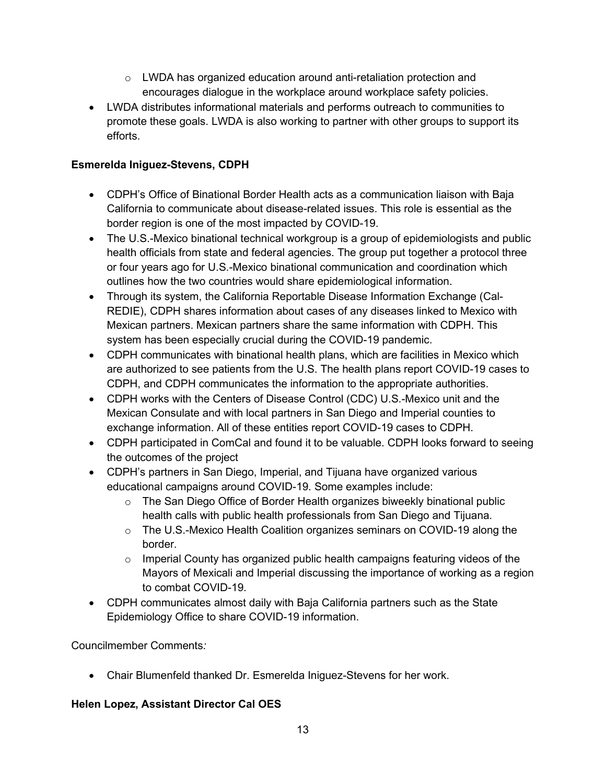- o LWDA has organized education around anti-retaliation protection and encourages dialogue in the workplace around workplace safety policies.
- LWDA distributes informational materials and performs outreach to communities to promote these goals. LWDA is also working to partner with other groups to support its efforts.

### **Esmerelda Iniguez-Stevens, CDPH**

- CDPH's Office of Binational Border Health acts as a communication liaison with Baja California to communicate about disease-related issues. This role is essential as the border region is one of the most impacted by COVID-19.
- The U.S.-Mexico binational technical workgroup is a group of epidemiologists and public health officials from state and federal agencies. The group put together a protocol three or four years ago for U.S.-Mexico binational communication and coordination which outlines how the two countries would share epidemiological information.
- Through its system, the California Reportable Disease Information Exchange (Cal-REDIE), CDPH shares information about cases of any diseases linked to Mexico with Mexican partners. Mexican partners share the same information with CDPH. This system has been especially crucial during the COVID-19 pandemic.
- CDPH communicates with binational health plans, which are facilities in Mexico which are authorized to see patients from the U.S. The health plans report COVID-19 cases to CDPH, and CDPH communicates the information to the appropriate authorities.
- CDPH works with the Centers of Disease Control (CDC) U.S.-Mexico unit and the Mexican Consulate and with local partners in San Diego and Imperial counties to exchange information. All of these entities report COVID-19 cases to CDPH.
- CDPH participated in ComCal and found it to be valuable. CDPH looks forward to seeing the outcomes of the project
- CDPH's partners in San Diego, Imperial, and Tijuana have organized various educational campaigns around COVID-19. Some examples include:
	- o The San Diego Office of Border Health organizes biweekly binational public health calls with public health professionals from San Diego and Tijuana.
	- o The U.S.-Mexico Health Coalition organizes seminars on COVID-19 along the border.
	- o Imperial County has organized public health campaigns featuring videos of the Mayors of Mexicali and Imperial discussing the importance of working as a region to combat COVID-19.
- CDPH communicates almost daily with Baja California partners such as the State Epidemiology Office to share COVID-19 information.

Councilmember Comments*:*

• Chair Blumenfeld thanked Dr. Esmerelda Iniguez-Stevens for her work.

## **Helen Lopez, Assistant Director Cal OES**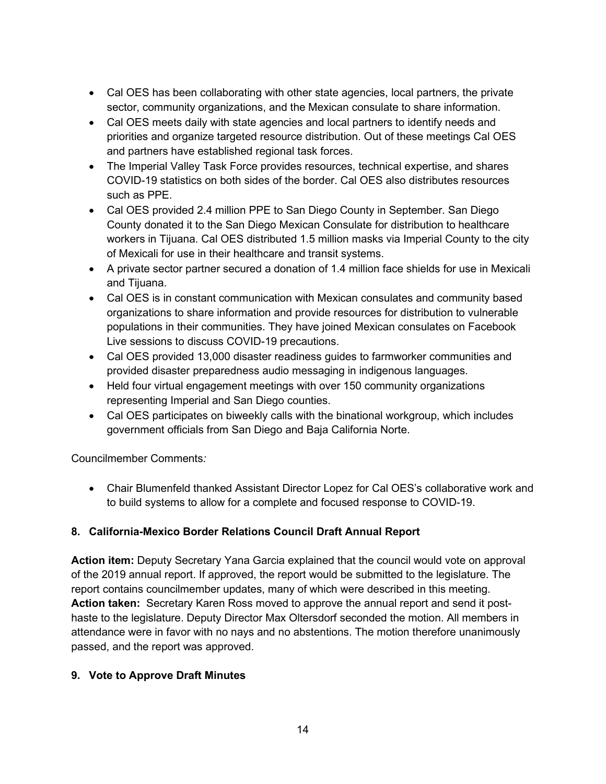- Cal OES has been collaborating with other state agencies, local partners, the private sector, community organizations, and the Mexican consulate to share information.
- Cal OES meets daily with state agencies and local partners to identify needs and priorities and organize targeted resource distribution. Out of these meetings Cal OES and partners have established regional task forces.
- The Imperial Valley Task Force provides resources, technical expertise, and shares COVID-19 statistics on both sides of the border. Cal OES also distributes resources such as PPE.
- Cal OES provided 2.4 million PPE to San Diego County in September. San Diego County donated it to the San Diego Mexican Consulate for distribution to healthcare workers in Tijuana. Cal OES distributed 1.5 million masks via Imperial County to the city of Mexicali for use in their healthcare and transit systems.
- A private sector partner secured a donation of 1.4 million face shields for use in Mexicali and Tijuana.
- Cal OES is in constant communication with Mexican consulates and community based organizations to share information and provide resources for distribution to vulnerable populations in their communities. They have joined Mexican consulates on Facebook Live sessions to discuss COVID-19 precautions.
- Cal OES provided 13,000 disaster readiness guides to farmworker communities and provided disaster preparedness audio messaging in indigenous languages.
- Held four virtual engagement meetings with over 150 community organizations representing Imperial and San Diego counties.
- Cal OES participates on biweekly calls with the binational workgroup, which includes government officials from San Diego and Baja California Norte.

• Chair Blumenfeld thanked Assistant Director Lopez for Cal OES's collaborative work and to build systems to allow for a complete and focused response to COVID-19.

## **8. California-Mexico Border Relations Council Draft Annual Report**

**Action item:** Deputy Secretary Yana Garcia explained that the council would vote on approval of the 2019 annual report. If approved, the report would be submitted to the legislature. The report contains councilmember updates, many of which were described in this meeting. **Action taken:** Secretary Karen Ross moved to approve the annual report and send it posthaste to the legislature. Deputy Director Max Oltersdorf seconded the motion. All members in attendance were in favor with no nays and no abstentions. The motion therefore unanimously passed, and the report was approved.

### **9. Vote to Approve Draft Minutes**